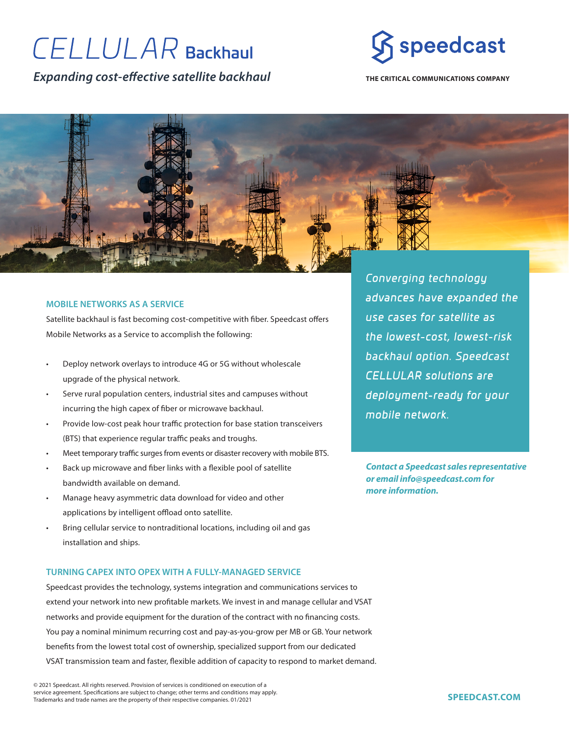# **CELLULAR Backhaul**

*Expanding cost-effective satellite backhaul*



**THE CRITICAL COMMUNICATIONS COMPANY**



## **MOBILE NETWORKS AS A SERVICE**

Satellite backhaul is fast becoming cost-competitive with fiber. Speedcast offers Mobile Networks as a Service to accomplish the following:

- Deploy network overlays to introduce 4G or 5G without wholescale upgrade of the physical network.
- Serve rural population centers, industrial sites and campuses without incurring the high capex of fiber or microwave backhaul.
- Provide low-cost peak hour traffic protection for base station transceivers (BTS) that experience regular traffic peaks and troughs.
- Meet temporary traffic surges from events or disaster recovery with mobile BTS.
- Back up microwave and fiber links with a flexible pool of satellite bandwidth available on demand.
- Manage heavy asymmetric data download for video and other applications by intelligent offload onto satellite.
- Bring cellular service to nontraditional locations, including oil and gas installation and ships.

## **TURNING CAPEX INTO OPEX WITH A FULLY-MANAGED SERVICE**

Speedcast provides the technology, systems integration and communications services to extend your network into new profitable markets. We invest in and manage cellular and VSAT networks and provide equipment for the duration of the contract with no financing costs. You pay a nominal minimum recurring cost and pay-as-you-grow per MB or GB. Your network benefits from the lowest total cost of ownership, specialized support from our dedicated VSAT transmission team and faster, flexible addition of capacity to respond to market demand.

© 2021 Speedcast. All rights reserved. Provision of services is conditioned on execution of a service agreement. Specifications are subject to change; other terms and conditions may apply. Trademarks and trade names are the property of their respective companies. 01/2021

*Converging technology advances have expanded the use cases for satellite as the lowest-cost, lowest-risk backhaul option. Speedcast CELLULAR solutions are deployment-ready for your mobile network.*

*Contact a Speedcast sales representative or email info@speedcast.com for more information.*